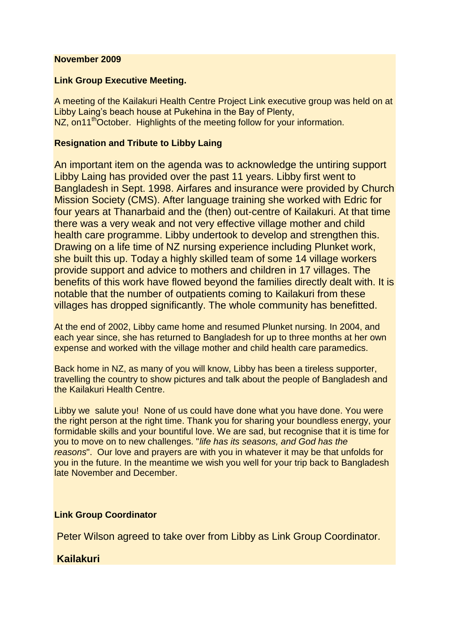#### **November 2009**

#### **Link Group Executive Meeting.**

A meeting of the Kailakuri Health Centre Project Link executive group was held on at Libby Laing's beach house at Pukehina in the Bay of Plenty, NZ, on11<sup>th</sup>October. Highlights of the meeting follow for your information.

### **Resignation and Tribute to Libby Laing**

An important item on the agenda was to acknowledge the untiring support Libby Laing has provided over the past 11 years. Libby first went to Bangladesh in Sept. 1998. Airfares and insurance were provided by Church Mission Society (CMS). After language training she worked with Edric for four years at Thanarbaid and the (then) out-centre of Kailakuri. At that time there was a very weak and not very effective village mother and child health care programme. Libby undertook to develop and strengthen this. Drawing on a life time of NZ nursing experience including Plunket work, she built this up. Today a highly skilled team of some 14 village workers provide support and advice to mothers and children in 17 villages. The benefits of this work have flowed beyond the families directly dealt with. It is notable that the number of outpatients coming to Kailakuri from these villages has dropped significantly. The whole community has benefitted.

At the end of 2002, Libby came home and resumed Plunket nursing. In 2004, and each year since, she has returned to Bangladesh for up to three months at her own expense and worked with the village mother and child health care paramedics.

Back home in NZ, as many of you will know, Libby has been a tireless supporter, travelling the country to show pictures and talk about the people of Bangladesh and the Kailakuri Health Centre.

Libby we salute you! None of us could have done what you have done. You were the right person at the right time. Thank you for sharing your boundless energy, your formidable skills and your bountiful love. We are sad, but recognise that it is time for you to move on to new challenges. "*life has its seasons, and God has the reasons*". Our love and prayers are with you in whatever it may be that unfolds for you in the future. In the meantime we wish you well for your trip back to Bangladesh late November and December.

### **Link Group Coordinator**

Peter Wilson agreed to take over from Libby as Link Group Coordinator.

## **Kailakuri**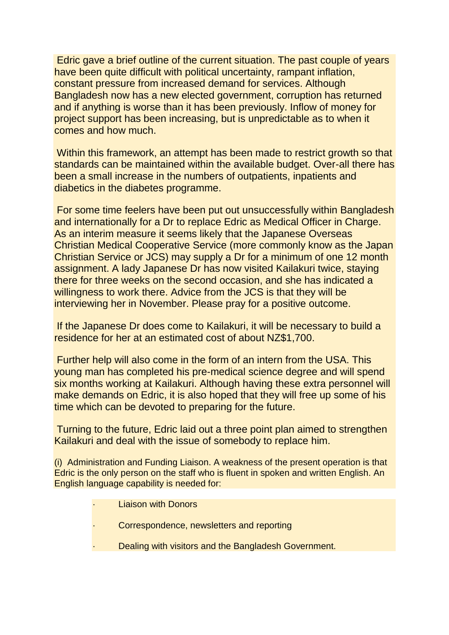Edric gave a brief outline of the current situation. The past couple of years have been quite difficult with political uncertainty, rampant inflation, constant pressure from increased demand for services. Although Bangladesh now has a new elected government, corruption has returned and if anything is worse than it has been previously. Inflow of money for project support has been increasing, but is unpredictable as to when it comes and how much.

Within this framework, an attempt has been made to restrict growth so that standards can be maintained within the available budget. Over-all there has been a small increase in the numbers of outpatients, inpatients and diabetics in the diabetes programme.

For some time feelers have been put out unsuccessfully within Bangladesh and internationally for a Dr to replace Edric as Medical Officer in Charge. As an interim measure it seems likely that the Japanese Overseas Christian Medical Cooperative Service (more commonly know as the Japan Christian Service or JCS) may supply a Dr for a minimum of one 12 month assignment. A lady Japanese Dr has now visited Kailakuri twice, staying there for three weeks on the second occasion, and she has indicated a willingness to work there. Advice from the JCS is that they will be interviewing her in November. Please pray for a positive outcome.

If the Japanese Dr does come to Kailakuri, it will be necessary to build a residence for her at an estimated cost of about NZ\$1,700.

Further help will also come in the form of an intern from the USA. This young man has completed his pre-medical science degree and will spend six months working at Kailakuri. Although having these extra personnel will make demands on Edric, it is also hoped that they will free up some of his time which can be devoted to preparing for the future.

Turning to the future, Edric laid out a three point plan aimed to strengthen Kailakuri and deal with the issue of somebody to replace him.

(i) Administration and Funding Liaison. A weakness of the present operation is that Edric is the only person on the staff who is fluent in spoken and written English. An English language capability is needed for:

- · Liaison with Donors
- Correspondence, newsletters and reporting
- Dealing with visitors and the Bangladesh Government.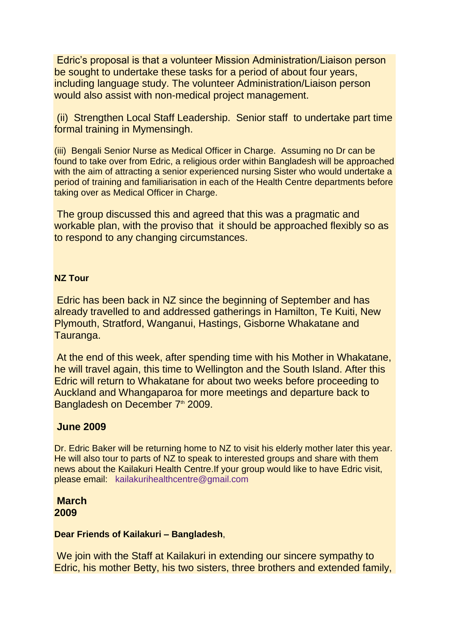Edric's proposal is that a volunteer Mission Administration/Liaison person be sought to undertake these tasks for a period of about four years, including language study. The volunteer Administration/Liaison person would also assist with non-medical project management.

(ii) Strengthen Local Staff Leadership. Senior staff to undertake part time formal training in Mymensingh.

(iii) Bengali Senior Nurse as Medical Officer in Charge. Assuming no Dr can be found to take over from Edric, a religious order within Bangladesh will be approached with the aim of attracting a senior experienced nursing Sister who would undertake a period of training and familiarisation in each of the Health Centre departments before taking over as Medical Officer in Charge.

The group discussed this and agreed that this was a pragmatic and workable plan, with the proviso that it should be approached flexibly so as to respond to any changing circumstances.

### **NZ Tour**

Edric has been back in NZ since the beginning of September and has already travelled to and addressed gatherings in Hamilton, Te Kuiti, New Plymouth, Stratford, Wanganui, Hastings, Gisborne Whakatane and Tauranga.

At the end of this week, after spending time with his Mother in Whakatane, he will travel again, this time to Wellington and the South Island. After this Edric will return to Whakatane for about two weeks before proceeding to Auckland and Whangaparoa for more meetings and departure back to Bangladesh on December 7<sup>th</sup> 2009.

## **June 2009**

Dr. Edric Baker will be returning home to NZ to visit his elderly mother later this year. He will also tour to parts of NZ to speak to interested groups and share with them news about the Kailakuri Health Centre.If your group would like to have Edric visit, please email: [kailakurihealthcentre@gmail.com](mailto:kailakurihealthcentre@gmail.com)

# **March 2009**

### **Dear Friends of Kailakuri – Bangladesh**,

We join with the Staff at Kailakuri in extending our sincere sympathy to Edric, his mother Betty, his two sisters, three brothers and extended family,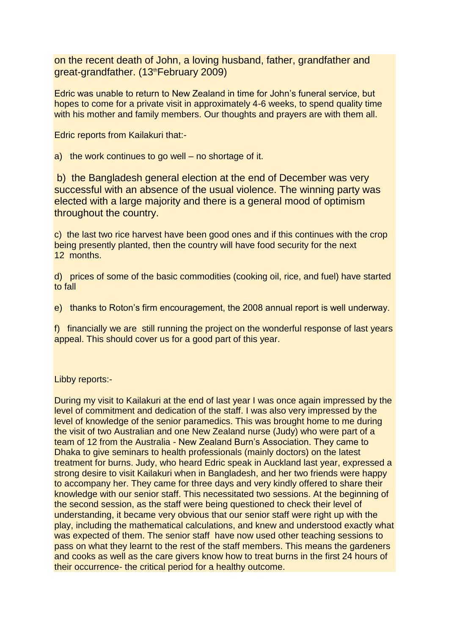on the recent death of John, a loving husband, father, grandfather and great-grandfather. (13th February 2009)

Edric was unable to return to New Zealand in time for John's funeral service, but hopes to come for a private visit in approximately 4-6 weeks, to spend quality time with his mother and family members. Our thoughts and prayers are with them all.

Edric reports from Kailakuri that:-

a) the work continues to go well – no shortage of it.

b) the Bangladesh general election at the end of December was very successful with an absence of the usual violence. The winning party was elected with a large majority and there is a general mood of optimism throughout the country.

c) the last two rice harvest have been good ones and if this continues with the crop being presently planted, then the country will have food security for the next 12 months.

d) prices of some of the basic commodities (cooking oil, rice, and fuel) have started to fall

e) thanks to Roton's firm encouragement, the 2008 annual report is well underway.

f) financially we are still running the project on the wonderful response of last years appeal. This should cover us for a good part of this year.

Libby reports:-

During my visit to Kailakuri at the end of last year I was once again impressed by the level of commitment and dedication of the staff. I was also very impressed by the level of knowledge of the senior paramedics. This was brought home to me during the visit of two Australian and one New Zealand nurse (Judy) who were part of a team of 12 from the Australia - New Zealand Burn's Association. They came to Dhaka to give seminars to health professionals (mainly doctors) on the latest treatment for burns. Judy, who heard Edric speak in Auckland last year, expressed a strong desire to visit Kailakuri when in Bangladesh, and her two friends were happy to accompany her. They came for three days and very kindly offered to share their knowledge with our senior staff. This necessitated two sessions. At the beginning of the second session, as the staff were being questioned to check their level of understanding, it became very obvious that our senior staff were right up with the play, including the mathematical calculations, and knew and understood exactly what was expected of them. The senior staff have now used other teaching sessions to pass on what they learnt to the rest of the staff members. This means the gardeners and cooks as well as the care givers know how to treat burns in the first 24 hours of their occurrence- the critical period for a healthy outcome.